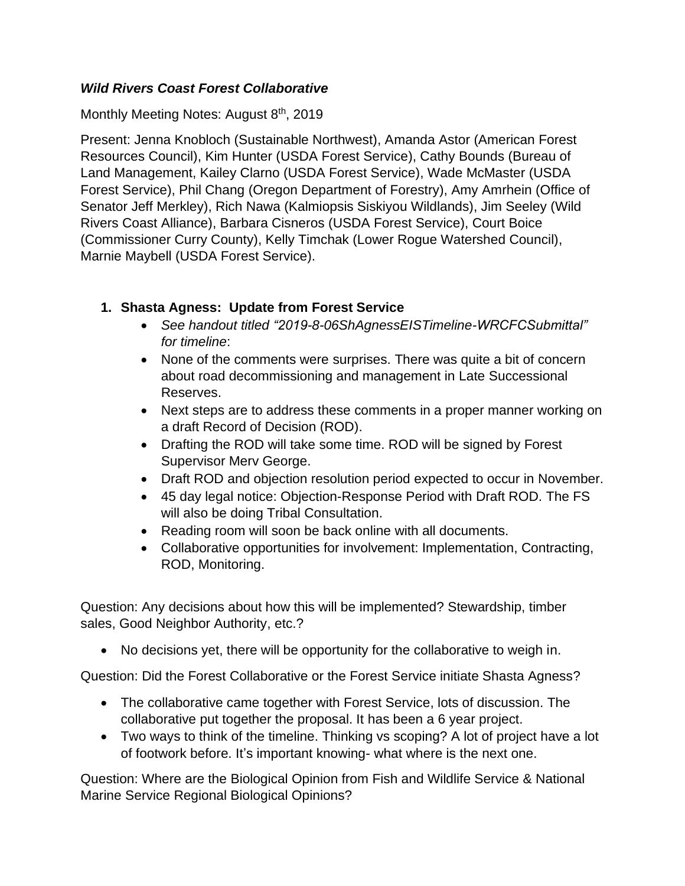#### *Wild Rivers Coast Forest Collaborative*

Monthly Meeting Notes: August 8<sup>th</sup>, 2019

Present: Jenna Knobloch (Sustainable Northwest), Amanda Astor (American Forest Resources Council), Kim Hunter (USDA Forest Service), Cathy Bounds (Bureau of Land Management, Kailey Clarno (USDA Forest Service), Wade McMaster (USDA Forest Service), Phil Chang (Oregon Department of Forestry), Amy Amrhein (Office of Senator Jeff Merkley), Rich Nawa (Kalmiopsis Siskiyou Wildlands), Jim Seeley (Wild Rivers Coast Alliance), Barbara Cisneros (USDA Forest Service), Court Boice (Commissioner Curry County), Kelly Timchak (Lower Rogue Watershed Council), Marnie Maybell (USDA Forest Service).

### **1. Shasta Agness: Update from Forest Service**

- *See handout titled "2019-8-06ShAgnessEISTimeline-WRCFCSubmittal" for timeline*:
- None of the comments were surprises. There was quite a bit of concern about road decommissioning and management in Late Successional Reserves.
- Next steps are to address these comments in a proper manner working on a draft Record of Decision (ROD).
- Drafting the ROD will take some time. ROD will be signed by Forest Supervisor Merv George.
- Draft ROD and objection resolution period expected to occur in November.
- 45 day legal notice: Objection-Response Period with Draft ROD. The FS will also be doing Tribal Consultation.
- Reading room will soon be back online with all documents.
- Collaborative opportunities for involvement: Implementation, Contracting, ROD, Monitoring.

Question: Any decisions about how this will be implemented? Stewardship, timber sales, Good Neighbor Authority, etc.?

• No decisions yet, there will be opportunity for the collaborative to weigh in.

Question: Did the Forest Collaborative or the Forest Service initiate Shasta Agness?

- The collaborative came together with Forest Service, lots of discussion. The collaborative put together the proposal. It has been a 6 year project.
- Two ways to think of the timeline. Thinking vs scoping? A lot of project have a lot of footwork before. It's important knowing- what where is the next one.

Question: Where are the Biological Opinion from Fish and Wildlife Service & National Marine Service Regional Biological Opinions?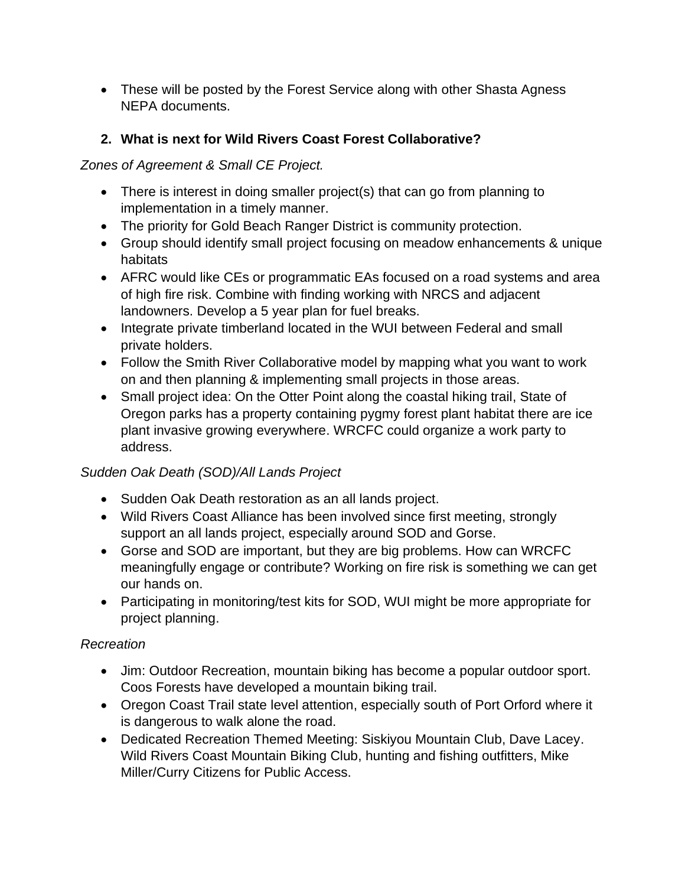• These will be posted by the Forest Service along with other Shasta Agness NEPA documents.

# **2. What is next for Wild Rivers Coast Forest Collaborative?**

#### *Zones of Agreement & Small CE Project.*

- There is interest in doing smaller project(s) that can go from planning to implementation in a timely manner.
- The priority for Gold Beach Ranger District is community protection.
- Group should identify small project focusing on meadow enhancements & unique habitats
- AFRC would like CEs or programmatic EAs focused on a road systems and area of high fire risk. Combine with finding working with NRCS and adjacent landowners. Develop a 5 year plan for fuel breaks.
- Integrate private timberland located in the WUI between Federal and small private holders.
- Follow the Smith River Collaborative model by mapping what you want to work on and then planning & implementing small projects in those areas.
- Small project idea: On the Otter Point along the coastal hiking trail, State of Oregon parks has a property containing pygmy forest plant habitat there are ice plant invasive growing everywhere. WRCFC could organize a work party to address.

### *Sudden Oak Death (SOD)/All Lands Project*

- Sudden Oak Death restoration as an all lands project.
- Wild Rivers Coast Alliance has been involved since first meeting, strongly support an all lands project, especially around SOD and Gorse.
- Gorse and SOD are important, but they are big problems. How can WRCFC meaningfully engage or contribute? Working on fire risk is something we can get our hands on.
- Participating in monitoring/test kits for SOD, WUI might be more appropriate for project planning.

### *Recreation*

- Jim: Outdoor Recreation, mountain biking has become a popular outdoor sport. Coos Forests have developed a mountain biking trail.
- Oregon Coast Trail state level attention, especially south of Port Orford where it is dangerous to walk alone the road.
- Dedicated Recreation Themed Meeting: Siskiyou Mountain Club, Dave Lacey. Wild Rivers Coast Mountain Biking Club, hunting and fishing outfitters, Mike Miller/Curry Citizens for Public Access.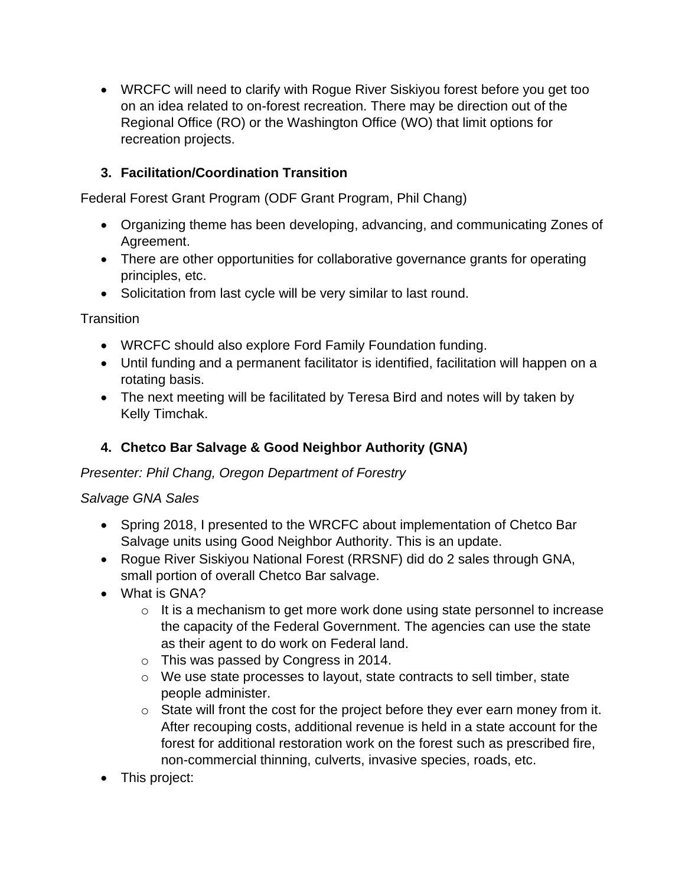• WRCFC will need to clarify with Rogue River Siskiyou forest before you get too on an idea related to on-forest recreation. There may be direction out of the Regional Office (RO) or the Washington Office (WO) that limit options for recreation projects.

# **3. Facilitation/Coordination Transition**

Federal Forest Grant Program (ODF Grant Program, Phil Chang)

- Organizing theme has been developing, advancing, and communicating Zones of Agreement.
- There are other opportunities for collaborative governance grants for operating principles, etc.
- Solicitation from last cycle will be very similar to last round.

**Transition** 

- WRCFC should also explore Ford Family Foundation funding.
- Until funding and a permanent facilitator is identified, facilitation will happen on a rotating basis.
- The next meeting will be facilitated by Teresa Bird and notes will by taken by Kelly Timchak.

# **4. Chetco Bar Salvage & Good Neighbor Authority (GNA)**

#### *Presenter: Phil Chang, Oregon Department of Forestry*

#### *Salvage GNA Sales*

- Spring 2018, I presented to the WRCFC about implementation of Chetco Bar Salvage units using Good Neighbor Authority. This is an update.
- Rogue River Siskiyou National Forest (RRSNF) did do 2 sales through GNA, small portion of overall Chetco Bar salvage.
- What is GNA?
	- o It is a mechanism to get more work done using state personnel to increase the capacity of the Federal Government. The agencies can use the state as their agent to do work on Federal land.
	- o This was passed by Congress in 2014.
	- o We use state processes to layout, state contracts to sell timber, state people administer.
	- o State will front the cost for the project before they ever earn money from it. After recouping costs, additional revenue is held in a state account for the forest for additional restoration work on the forest such as prescribed fire, non-commercial thinning, culverts, invasive species, roads, etc.
- This project: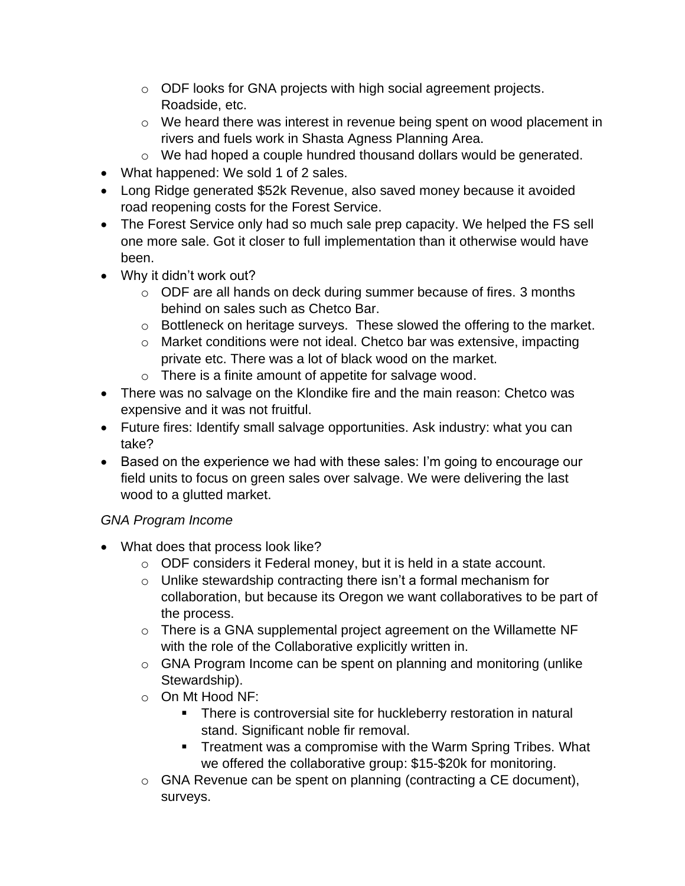- o ODF looks for GNA projects with high social agreement projects. Roadside, etc.
- o We heard there was interest in revenue being spent on wood placement in rivers and fuels work in Shasta Agness Planning Area.
- o We had hoped a couple hundred thousand dollars would be generated.
- What happened: We sold 1 of 2 sales.
- Long Ridge generated \$52k Revenue, also saved money because it avoided road reopening costs for the Forest Service.
- The Forest Service only had so much sale prep capacity. We helped the FS sell one more sale. Got it closer to full implementation than it otherwise would have been.
- Why it didn't work out?
	- o ODF are all hands on deck during summer because of fires. 3 months behind on sales such as Chetco Bar.
	- o Bottleneck on heritage surveys. These slowed the offering to the market.
	- o Market conditions were not ideal. Chetco bar was extensive, impacting private etc. There was a lot of black wood on the market.
	- o There is a finite amount of appetite for salvage wood.
- There was no salvage on the Klondike fire and the main reason: Chetco was expensive and it was not fruitful.
- Future fires: Identify small salvage opportunities. Ask industry: what you can take?
- Based on the experience we had with these sales: I'm going to encourage our field units to focus on green sales over salvage. We were delivering the last wood to a glutted market.

### *GNA Program Income*

- What does that process look like?
	- o ODF considers it Federal money, but it is held in a state account.
	- o Unlike stewardship contracting there isn't a formal mechanism for collaboration, but because its Oregon we want collaboratives to be part of the process.
	- $\circ$  There is a GNA supplemental project agreement on the Willamette NF with the role of the Collaborative explicitly written in.
	- o GNA Program Income can be spent on planning and monitoring (unlike Stewardship).
	- o On Mt Hood NF:
		- **There is controversial site for huckleberry restoration in natural** stand. Significant noble fir removal.
		- **EXE** Treatment was a compromise with the Warm Spring Tribes. What we offered the collaborative group: \$15-\$20k for monitoring.
	- o GNA Revenue can be spent on planning (contracting a CE document), surveys.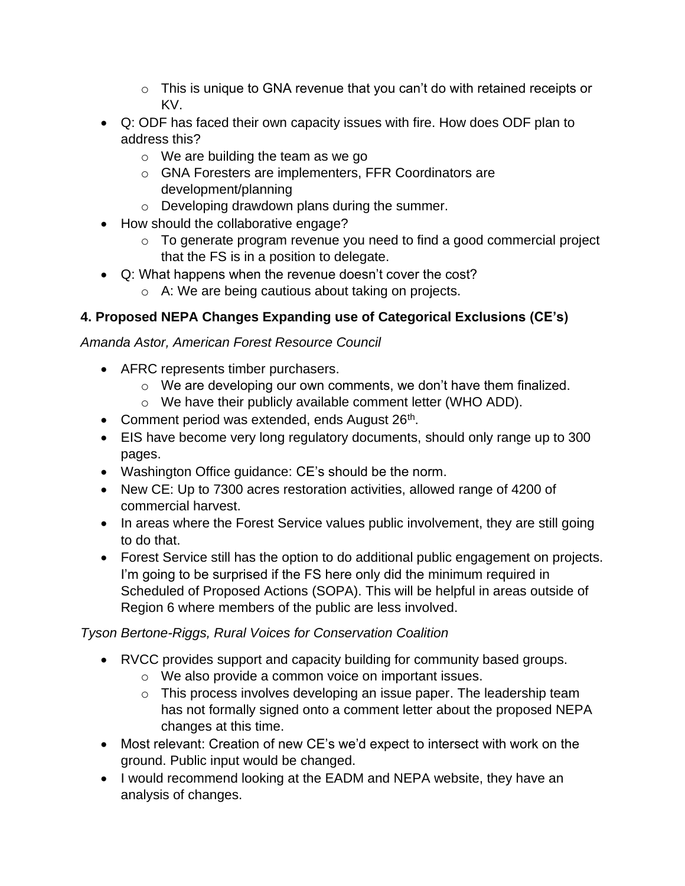- $\circ$  This is unique to GNA revenue that you can't do with retained receipts or KV.
- Q: ODF has faced their own capacity issues with fire. How does ODF plan to address this?
	- o We are building the team as we go
	- o GNA Foresters are implementers, FFR Coordinators are development/planning
	- o Developing drawdown plans during the summer.
- How should the collaborative engage?
	- o To generate program revenue you need to find a good commercial project that the FS is in a position to delegate.
- Q: What happens when the revenue doesn't cover the cost?
	- o A: We are being cautious about taking on projects.

# **4. Proposed NEPA Changes Expanding use of Categorical Exclusions (CE's)**

#### *Amanda Astor, American Forest Resource Council*

- AFRC represents timber purchasers.
	- o We are developing our own comments, we don't have them finalized.
	- o We have their publicly available comment letter (WHO ADD).
- Comment period was extended, ends August  $26<sup>th</sup>$ .
- EIS have become very long regulatory documents, should only range up to 300 pages.
- Washington Office guidance: CE's should be the norm.
- New CE: Up to 7300 acres restoration activities, allowed range of 4200 of commercial harvest.
- In areas where the Forest Service values public involvement, they are still going to do that.
- Forest Service still has the option to do additional public engagement on projects. I'm going to be surprised if the FS here only did the minimum required in Scheduled of Proposed Actions (SOPA). This will be helpful in areas outside of Region 6 where members of the public are less involved.

### *Tyson Bertone-Riggs, Rural Voices for Conservation Coalition*

- RVCC provides support and capacity building for community based groups.
	- o We also provide a common voice on important issues.
	- $\circ$  This process involves developing an issue paper. The leadership team has not formally signed onto a comment letter about the proposed NEPA changes at this time.
- Most relevant: Creation of new CE's we'd expect to intersect with work on the ground. Public input would be changed.
- I would recommend looking at the EADM and NEPA website, they have an analysis of changes.